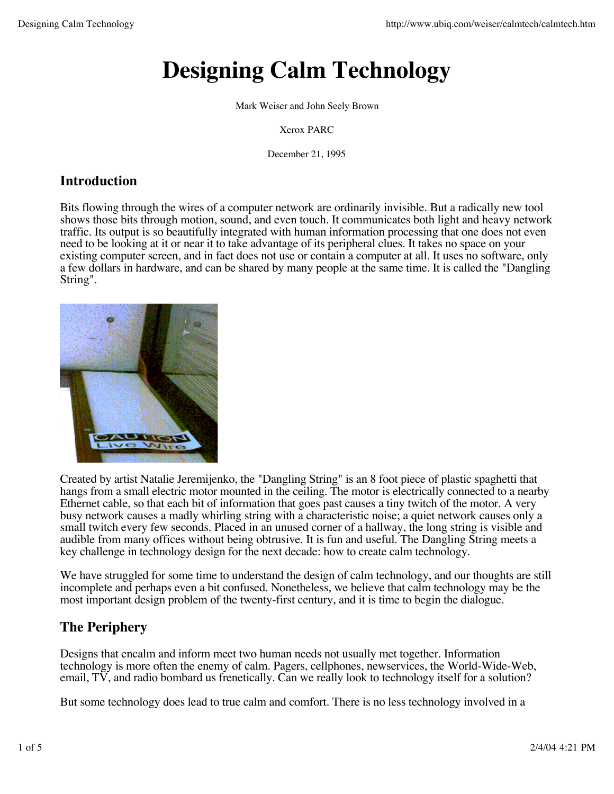# **Designing Calm Technology**

Mark Weiser and John Seely Brown

Xerox PARC

December 21, 1995

## **Introduction**

Bits flowing through the wires of a computer network are ordinarily invisible. But a radically new tool shows those bits through motion, sound, and even touch. It communicates both light and heavy network traffic. Its output is so beautifully integrated with human information processing that one does not even need to be looking at it or near it to take advantage of its peripheral clues. It takes no space on your existing computer screen, and in fact does not use or contain a computer at all. It uses no software, only a few dollars in hardware, and can be shared by many people at the same time. It is called the "Dangling String".



Created by artist Natalie Jeremijenko, the "Dangling String" is an 8 foot piece of plastic spaghetti that hangs from a small electric motor mounted in the ceiling. The motor is electrically connected to a nearby Ethernet cable, so that each bit of information that goes past causes a tiny twitch of the motor. A very busy network causes a madly whirling string with a characteristic noise; a quiet network causes only a small twitch every few seconds. Placed in an unused corner of a hallway, the long string is visible and audible from many offices without being obtrusive. It is fun and useful. The Dangling String meets a key challenge in technology design for the next decade: how to create calm technology.

We have struggled for some time to understand the design of calm technology, and our thoughts are still incomplete and perhaps even a bit confused. Nonetheless, we believe that calm technology may be the most important design problem of the twenty-first century, and it is time to begin the dialogue.

## **The Periphery**

Designs that encalm and inform meet two human needs not usually met together. Information technology is more often the enemy of calm. Pagers, cellphones, newservices, the World-Wide-Web, email, TV, and radio bombard us frenetically. Can we really look to technology itself for a solution?

But some technology does lead to true calm and comfort. There is no less technology involved in a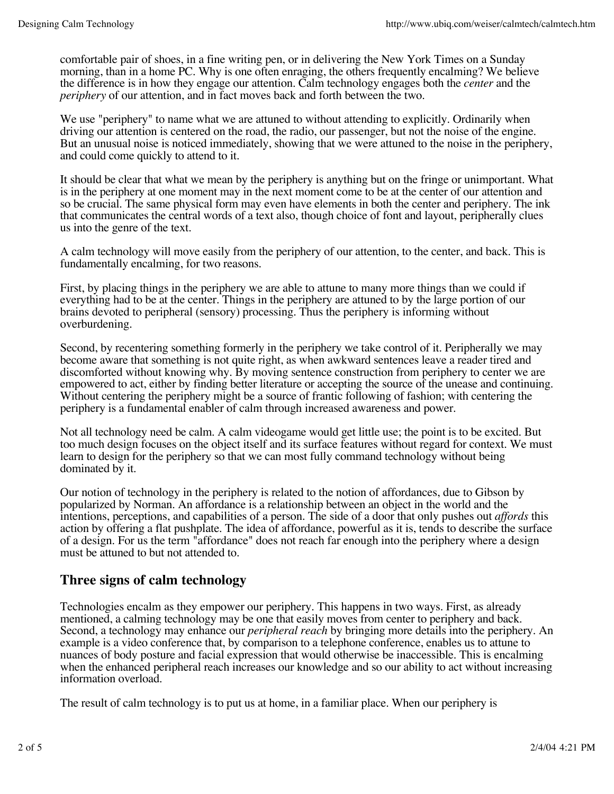comfortable pair of shoes, in a fine writing pen, or in delivering the New York Times on a Sunday morning, than in a home PC. Why is one often enraging, the others frequently encalming? We believe the difference is in how they engage our attention. Calm technology engages both the *center* and the *periphery* of our attention, and in fact moves back and forth between the two.

We use "periphery" to name what we are attuned to without attending to explicitly. Ordinarily when driving our attention is centered on the road, the radio, our passenger, but not the noise of the engine. But an unusual noise is noticed immediately, showing that we were attuned to the noise in the periphery, and could come quickly to attend to it.

It should be clear that what we mean by the periphery is anything but on the fringe or unimportant. What is in the periphery at one moment may in the next moment come to be at the center of our attention and so be crucial. The same physical form may even have elements in both the center and periphery. The ink that communicates the central words of a text also, though choice of font and layout, peripherally clues us into the genre of the text.

A calm technology will move easily from the periphery of our attention, to the center, and back. This is fundamentally encalming, for two reasons.

First, by placing things in the periphery we are able to attune to many more things than we could if everything had to be at the center. Things in the periphery are attuned to by the large portion of our brains devoted to peripheral (sensory) processing. Thus the periphery is informing without overburdening.

Second, by recentering something formerly in the periphery we take control of it. Peripherally we may become aware that something is not quite right, as when awkward sentences leave a reader tired and discomforted without knowing why. By moving sentence construction from periphery to center we are empowered to act, either by finding better literature or accepting the source of the unease and continuing. Without centering the periphery might be a source of frantic following of fashion; with centering the periphery is a fundamental enabler of calm through increased awareness and power.

Not all technology need be calm. A calm videogame would get little use; the point is to be excited. But too much design focuses on the object itself and its surface features without regard for context. We must learn to design for the periphery so that we can most fully command technology without being dominated by it.

Our notion of technology in the periphery is related to the notion of affordances, due to Gibson by popularized by Norman. An affordance is a relationship between an object in the world and the intentions, perceptions, and capabilities of a person. The side of a door that only pushes out *affords* this action by offering a flat pushplate. The idea of affordance, powerful as it is, tends to describe the surface of a design. For us the term "affordance" does not reach far enough into the periphery where a design must be attuned to but not attended to.

### **Three signs of calm technology**

Technologies encalm as they empower our periphery. This happens in two ways. First, as already mentioned, a calming technology may be one that easily moves from center to periphery and back. Second, a technology may enhance our *peripheral reach* by bringing more details into the periphery. An example is a video conference that, by comparison to a telephone conference, enables us to attune to nuances of body posture and facial expression that would otherwise be inaccessible. This is encalming when the enhanced peripheral reach increases our knowledge and so our ability to act without increasing information overload.

The result of calm technology is to put us at home, in a familiar place. When our periphery is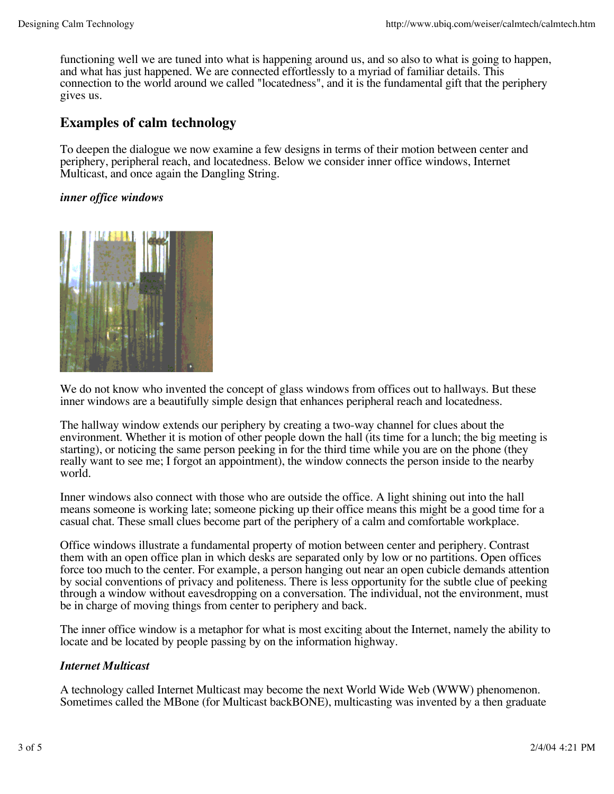functioning well we are tuned into what is happening around us, and so also to what is going to happen, and what has just happened. We are connected effortlessly to a myriad of familiar details. This connection to the world around we called "locatedness", and it is the fundamental gift that the periphery gives us.

## **Examples of calm technology**

To deepen the dialogue we now examine a few designs in terms of their motion between center and periphery, peripheral reach, and locatedness. Below we consider inner office windows, Internet Multicast, and once again the Dangling String.

#### *inner office windows*



We do not know who invented the concept of glass windows from offices out to hallways. But these inner windows are a beautifully simple design that enhances peripheral reach and locatedness.

The hallway window extends our periphery by creating a two-way channel for clues about the environment. Whether it is motion of other people down the hall (its time for a lunch; the big meeting is starting), or noticing the same person peeking in for the third time while you are on the phone (they really want to see me; I forgot an appointment), the window connects the person inside to the nearby world.

Inner windows also connect with those who are outside the office. A light shining out into the hall means someone is working late; someone picking up their office means this might be a good time for a casual chat. These small clues become part of the periphery of a calm and comfortable workplace.

Office windows illustrate a fundamental property of motion between center and periphery. Contrast them with an open office plan in which desks are separated only by low or no partitions. Open offices force too much to the center. For example, a person hanging out near an open cubicle demands attention by social conventions of privacy and politeness. There is less opportunity for the subtle clue of peeking through a window without eavesdropping on a conversation. The individual, not the environment, must be in charge of moving things from center to periphery and back.

The inner office window is a metaphor for what is most exciting about the Internet, namely the ability to locate and be located by people passing by on the information highway.

#### *Internet Multicast*

A technology called Internet Multicast may become the next World Wide Web (WWW) phenomenon. Sometimes called the MBone (for Multicast backBONE), multicasting was invented by a then graduate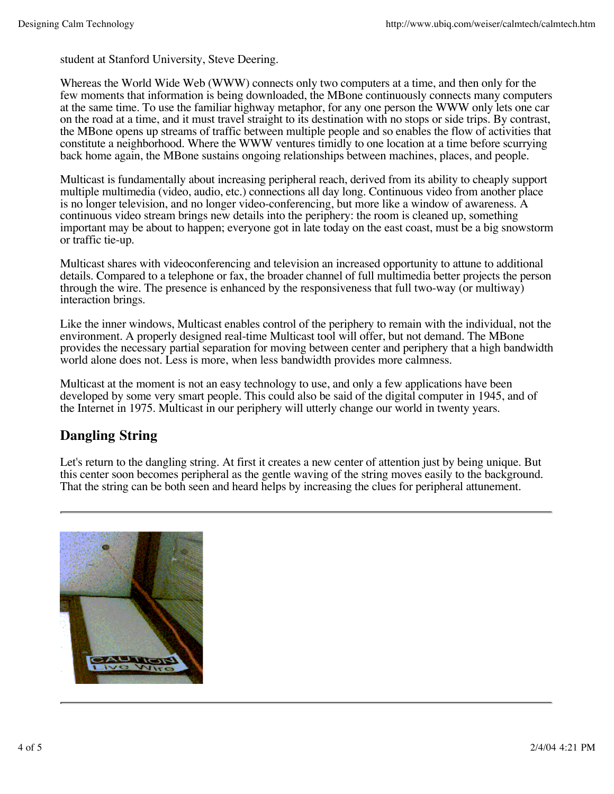student at Stanford University, Steve Deering.

Whereas the World Wide Web (WWW) connects only two computers at a time, and then only for the few moments that information is being downloaded, the MBone continuously connects many computers at the same time. To use the familiar highway metaphor, for any one person the WWW only lets one car on the road at a time, and it must travel straight to its destination with no stops or side trips. By contrast, the MBone opens up streams of traffic between multiple people and so enables the flow of activities that constitute a neighborhood. Where the WWW ventures timidly to one location at a time before scurrying back home again, the MBone sustains ongoing relationships between machines, places, and people.

Multicast is fundamentally about increasing peripheral reach, derived from its ability to cheaply support multiple multimedia (video, audio, etc.) connections all day long. Continuous video from another place is no longer television, and no longer video-conferencing, but more like a window of awareness. A continuous video stream brings new details into the periphery: the room is cleaned up, something important may be about to happen; everyone got in late today on the east coast, must be a big snowstorm or traffic tie-up.

Multicast shares with videoconferencing and television an increased opportunity to attune to additional details. Compared to a telephone or fax, the broader channel of full multimedia better projects the person through the wire. The presence is enhanced by the responsiveness that full two-way (or multiway) interaction brings.

Like the inner windows, Multicast enables control of the periphery to remain with the individual, not the environment. A properly designed real-time Multicast tool will offer, but not demand. The MBone provides the necessary partial separation for moving between center and periphery that a high bandwidth world alone does not. Less is more, when less bandwidth provides more calmness.

Multicast at the moment is not an easy technology to use, and only a few applications have been developed by some very smart people. This could also be said of the digital computer in 1945, and of the Internet in 1975. Multicast in our periphery will utterly change our world in twenty years.

## **Dangling String**

Let's return to the dangling string. At first it creates a new center of attention just by being unique. But this center soon becomes peripheral as the gentle waving of the string moves easily to the background. That the string can be both seen and heard helps by increasing the clues for peripheral attunement.